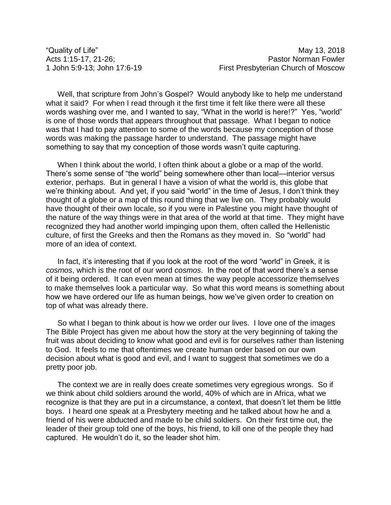Well, that scripture from John's Gospel? Would anybody like to help me understand what it said? For when I read through it the first time it felt like there were all these words washing over me, and I wanted to say, "What in the world is here!?" Yes, "world" is one of those words that appears throughout that passage. What I began to notice was that I had to pay attention to some of the words because my conception of those words was making the passage harder to understand. The passage might have something to say that my conception of those words wasn't quite capturing.

When I think about the world, I often think about a globe or a map of the world. There's some sense of "the world" being somewhere other than local—interior versus exterior, perhaps. But in general I have a vision of what the world is, this globe that we're thinking about. And yet, if you said "world" in the time of Jesus, I don't think they thought of a globe or a map of this round thing that we live on. They probably would have thought of their own locale, so if you were in Palestine you might have thought of the nature of the way things were in that area of the world at that time. They might have recognized they had another world impinging upon them, often called the Hellenistic culture, of first the Greeks and then the Romans as they moved in. So "world" had more of an idea of context.

In fact, it's interesting that if you look at the root of the word "world" in Greek, it is *cosmos*, which is the root of our word *cosmos*. In the root of that word there's a sense of it being ordered. It can even mean at times the way people accessorize themselves to make themselves look a particular way. So what this word means is something about how we have ordered our life as human beings, how we've given order to creation on top of what was already there.

So what I began to think about is how we order our lives. I love one of the images The Bible Project has given me about how the story at the very beginning of taking the fruit was about deciding to know what good and evil is for ourselves rather than listening to God. It feels to me that oftentimes we create human order based on our own decision about what is good and evil, and I want to suggest that sometimes we do a pretty poor job.

The context we are in really does create sometimes very egregious wrongs. So if we think about child soldiers around the world, 40% of which are in Africa, what we recognize is that they are put in a circumstance, a context, that doesn't let them be little boys. I heard one speak at a Presbytery meeting and he talked about how he and a friend of his were abducted and made to be child soldiers. On their first time out, the leader of their group told one of the boys, his friend, to kill one of the people they had captured. He wouldn't do it, so the leader shot him.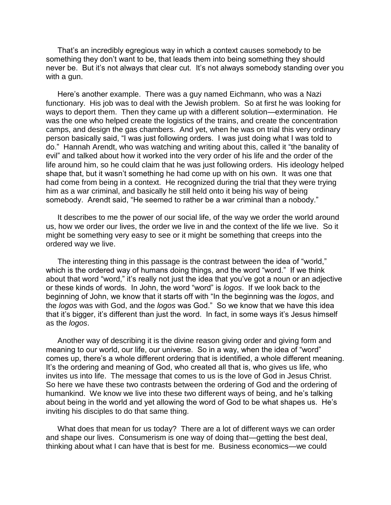That's an incredibly egregious way in which a context causes somebody to be something they don't want to be, that leads them into being something they should never be. But it's not always that clear cut. It's not always somebody standing over you with a gun.

Here's another example. There was a guy named Eichmann, who was a Nazi functionary. His job was to deal with the Jewish problem. So at first he was looking for ways to deport them. Then they came up with a different solution—extermination. He was the one who helped create the logistics of the trains, and create the concentration camps, and design the gas chambers. And yet, when he was on trial this very ordinary person basically said, "I was just following orders. I was just doing what I was told to do." Hannah Arendt, who was watching and writing about this, called it "the banality of evil" and talked about how it worked into the very order of his life and the order of the life around him, so he could claim that he was just following orders. His ideology helped shape that, but it wasn't something he had come up with on his own. It was one that had come from being in a context. He recognized during the trial that they were trying him as a war criminal, and basically he still held onto it being his way of being somebody. Arendt said, "He seemed to rather be a war criminal than a nobody."

It describes to me the power of our social life, of the way we order the world around us, how we order our lives, the order we live in and the context of the life we live. So it might be something very easy to see or it might be something that creeps into the ordered way we live.

The interesting thing in this passage is the contrast between the idea of "world," which is the ordered way of humans doing things, and the word "word." If we think about that word "word," it's really not just the idea that you've got a noun or an adjective or these kinds of words. In John, the word "word" is *logos*. If we look back to the beginning of John, we know that it starts off with "In the beginning was the *logos*, and the *logos* was with God, and the *logos* was God." So we know that we have this idea that it's bigger, it's different than just the word. In fact, in some ways it's Jesus himself as the *logos*.

Another way of describing it is the divine reason giving order and giving form and meaning to our world, our life, our universe. So in a way, when the idea of "word" comes up, there's a whole different ordering that is identified, a whole different meaning. It's the ordering and meaning of God, who created all that is, who gives us life, who invites us into life. The message that comes to us is the love of God in Jesus Christ. So here we have these two contrasts between the ordering of God and the ordering of humankind. We know we live into these two different ways of being, and he's talking about being in the world and yet allowing the word of God to be what shapes us. He's inviting his disciples to do that same thing.

What does that mean for us today? There are a lot of different ways we can order and shape our lives. Consumerism is one way of doing that—getting the best deal, thinking about what I can have that is best for me. Business economics—we could